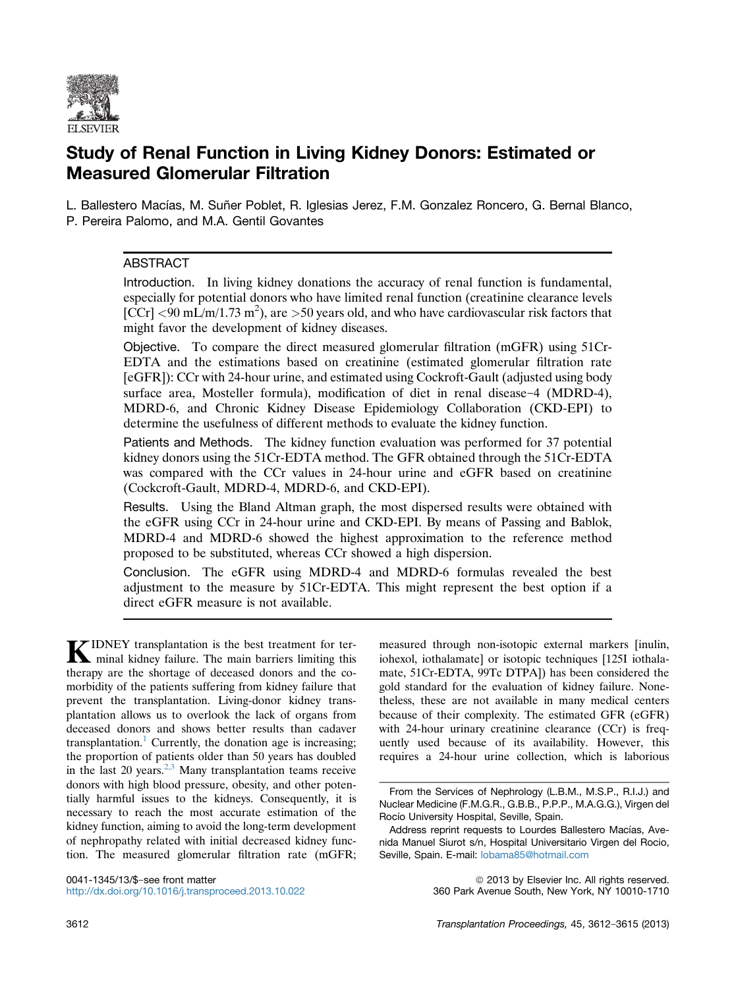

# Study of Renal Function in Living Kidney Donors: Estimated or Measured Glomerular Filtration

L. Ballestero Macías, M. Suñer Poblet, R. Iglesias Jerez, F.M. Gonzalez Roncero, G. Bernal Blanco, P. Pereira Palomo, and M.A. Gentil Govantes

# **ABSTRACT**

Introduction. In living kidney donations the accuracy of renal function is fundamental, especially for potential donors who have limited renal function (creatinine clearance levels  $\left[\frac{\text{C}}{\text{C}}\text{C}\text{C}\right]$  <90 mL/m/1.73 m<sup>2</sup>), are >50 years old, and who have cardiovascular risk factors that might favor the development of kidney diseases.

Objective. To compare the direct measured glomerular filtration (mGFR) using 51Cr-EDTA and the estimations based on creatinine (estimated glomerular filtration rate [eGFR]): CCr with 24-hour urine, and estimated using Cockroft-Gault (adjusted using body surface area, Mosteller formula), modification of diet in renal disease-4 (MDRD-4), MDRD-6, and Chronic Kidney Disease Epidemiology Collaboration (CKD-EPI) to determine the usefulness of different methods to evaluate the kidney function.

Patients and Methods. The kidney function evaluation was performed for 37 potential kidney donors using the 51Cr-EDTA method. The GFR obtained through the 51Cr-EDTA was compared with the CCr values in 24-hour urine and eGFR based on creatinine (Cockcroft-Gault, MDRD-4, MDRD-6, and CKD-EPI).

Results. Using the Bland Altman graph, the most dispersed results were obtained with the eGFR using CCr in 24-hour urine and CKD-EPI. By means of Passing and Bablok, MDRD-4 and MDRD-6 showed the highest approximation to the reference method proposed to be substituted, whereas CCr showed a high dispersion.

Conclusion. The eGFR using MDRD-4 and MDRD-6 formulas revealed the best adjustment to the measure by 51Cr-EDTA. This might represent the best option if a direct eGFR measure is not available.

KIDNEY transplantation is the best treatment for terminal kidney failure. The main barriers limiting this therapy are the shortage of deceased donors and the comorbidity of the patients suffering from kidney failure that prevent the transplantation. Living-donor kidney transplantation allows us to overlook the lack of organs from deceased donors and shows better results than cadaver transplantation.<sup>[1](#page-3-0)</sup> Currently, the donation age is increasing; the proportion of patients older than 50 years has doubled in the last 20 years.<sup>[2,3](#page-3-0)</sup> Many transplantation teams receive donors with high blood pressure, obesity, and other potentially harmful issues to the kidneys. Consequently, it is necessary to reach the most accurate estimation of the kidney function, aiming to avoid the long-term development of nephropathy related with initial decreased kidney function. The measured glomerular filtration rate (mGFR; measured through non-isotopic external markers [inulin, iohexol, iothalamate] or isotopic techniques [125I iothalamate, 51Cr-EDTA, 99Tc DTPA]) has been considered the gold standard for the evaluation of kidney failure. Nonetheless, these are not available in many medical centers because of their complexity. The estimated GFR (eGFR) with 24-hour urinary creatinine clearance (CCr) is frequently used because of its availability. However, this requires a 24-hour urine collection, which is laborious

0041-1345/13/\$-see front matter <http://dx.doi.org/10.1016/j.transproceed.2013.10.022>

© 2013 by Elsevier Inc. All rights reserved. 360 Park Avenue South, New York, NY 10010-1710

From the Services of Nephrology (L.B.M., M.S.P., R.I.J.) and Nuclear Medicine (F.M.G.R., G.B.B., P.P.P., M.A.G.G.), Virgen del Rocío University Hospital, Seville, Spain.

Address reprint requests to Lourdes Ballestero Macías, Avenida Manuel Siurot s/n, Hospital Universitario Virgen del Rocio, Seville, Spain. E-mail: [lobama85@hotmail.com](mailto:lobama85@hotmail.com)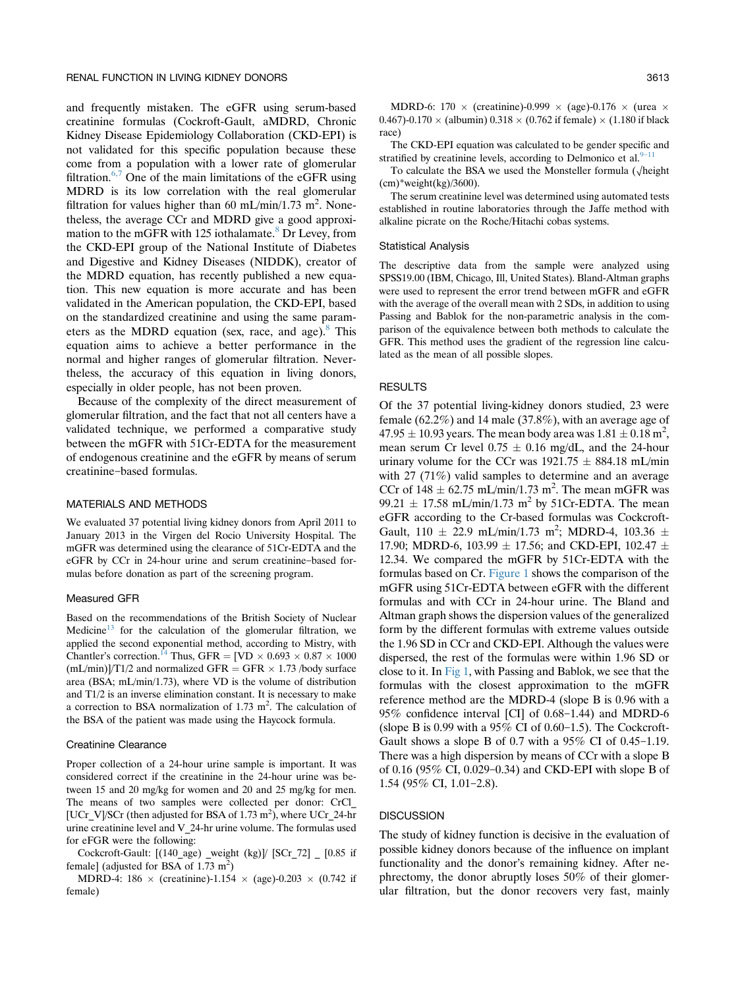and frequently mistaken. The eGFR using serum-based creatinine formulas (Cockroft-Gault, aMDRD, Chronic Kidney Disease Epidemiology Collaboration (CKD-EPI) is not validated for this specific population because these come from a population with a lower rate of glomerular filtration.[6,7](#page-3-0) One of the main limitations of the eGFR using MDRD is its low correlation with the real glomerular filtration for values higher than 60 mL/min/1.73 m<sup>2</sup>. Nonetheless, the average CCr and MDRD give a good approximation to the mGFR with 125 iothalamate. $8$  Dr Levey, from the CKD-EPI group of the National Institute of Diabetes and Digestive and Kidney Diseases (NIDDK), creator of the MDRD equation, has recently published a new equation. This new equation is more accurate and has been validated in the American population, the CKD-EPI, based on the standardized creatinine and using the same parameters as the MDRD equation (sex, race, and age). $8$  This equation aims to achieve a better performance in the normal and higher ranges of glomerular filtration. Nevertheless, the accuracy of this equation in living donors, especially in older people, has not been proven.

Because of the complexity of the direct measurement of glomerular filtration, and the fact that not all centers have a validated technique, we performed a comparative study between the mGFR with 51Cr-EDTA for the measurement of endogenous creatinine and the eGFR by means of serum creatinine-based formulas.

#### MATERIALS AND METHODS

We evaluated 37 potential living kidney donors from April 2011 to January 2013 in the Virgen del Rocio University Hospital. The mGFR was determined using the clearance of 51Cr-EDTA and the eGFR by CCr in 24-hour urine and serum creatinine-based formulas before donation as part of the screening program.

### Measured GFR

Based on the recommendations of the British Society of Nuclear Medicine<sup>[13](#page-3-0)</sup> for the calculation of the glomerular filtration, we applied the second exponential method, according to Mistry, with Chantler's correction.<sup>14</sup> Thus, GFR = [VD  $\times$  0.693  $\times$  0.87  $\times$  1000  $(mL/min)]/T1/2$  and normalized GFR = GFR  $\times$  1.73 /body surface area (BSA; mL/min/1.73), where VD is the volume of distribution and T1/2 is an inverse elimination constant. It is necessary to make a correction to BSA normalization of  $1.73 \text{ m}^2$ . The calculation of the BSA of the patient was made using the Haycock formula.

## Creatinine Clearance

Proper collection of a 24-hour urine sample is important. It was considered correct if the creatinine in the 24-hour urine was between 15 and 20 mg/kg for women and 20 and 25 mg/kg for men. The means of two samples were collected per donor: CrCl\_ [UCr\_V]/SCr (then adjusted for BSA of 1.73 m<sup>2</sup>), where UCr\_24-hr urine creatinine level and V\_24-hr urine volume. The formulas used for eFGR were the following:

Cockcroft-Gault: [(140\_age) \_weight (kg)]/ [SCr\_72] \_ [0.85 if female] (adjusted for BSA of 1.73  $m<sup>2</sup>$ )

MDRD-4: 186  $\times$  (creatinine)-1.154  $\times$  (age)-0.203  $\times$  (0.742 if female)

MDRD-6: 170  $\times$  (creatinine)-0.999  $\times$  (age)-0.176  $\times$  (urea  $\times$  $(0.467)$ -0.170  $\times$  (albumin)  $0.318 \times (0.762 \text{ if female}) \times (1.180 \text{ if black})$ race)

The CKD-EPI equation was calculated to be gender specific and stratified by creatinine levels, according to Delmonico et al. $9-1$ 

To calculate the BSA we used the Monsteller formula  $(\sqrt{\text{height}})$  $(cm)*weight(kg)/3600).$ 

The serum creatinine level was determined using automated tests established in routine laboratories through the Jaffe method with alkaline picrate on the Roche/Hitachi cobas systems.

# Statistical Analysis

The descriptive data from the sample were analyzed using SPSS19.00 (IBM, Chicago, Ill, United States). Bland-Altman graphs were used to represent the error trend between mGFR and eGFR with the average of the overall mean with 2 SDs, in addition to using Passing and Bablok for the non-parametric analysis in the comparison of the equivalence between both methods to calculate the GFR. This method uses the gradient of the regression line calculated as the mean of all possible slopes.

# **RESULTS**

Of the 37 potential living-kidney donors studied, 23 were female (62.2%) and 14 male (37.8%), with an average age of  $47.95 \pm 10.93$  years. The mean body area was  $1.81 \pm 0.18$  m<sup>2</sup>, mean serum Cr level  $0.75 \pm 0.16$  mg/dL, and the 24-hour urinary volume for the CCr was  $1921.75 \pm 884.18$  mL/min with 27 (71%) valid samples to determine and an average CCr of  $148 \pm 62.75$  mL/min/1.73 m<sup>2</sup>. The mean mGFR was 99.21  $\pm$  17.58 mL/min/1.73 m<sup>2</sup> by 51Cr-EDTA. The mean eGFR according to the Cr-based formulas was Cockcroft-Gault,  $110 \pm 22.9 \text{ mL/min}/1.73 \text{ m}^2$ ; MDRD-4,  $103.36 \pm 1.03$ 17.90; MDRD-6, 103.99  $\pm$  17.56; and CKD-EPI, 102.47  $\pm$ 12.34. We compared the mGFR by 51Cr-EDTA with the formulas based on Cr. [Figure 1](#page-2-0) shows the comparison of the mGFR using 51Cr-EDTA between eGFR with the different formulas and with CCr in 24-hour urine. The Bland and Altman graph shows the dispersion values of the generalized form by the different formulas with extreme values outside the 1.96 SD in CCr and CKD-EPI. Although the values were dispersed, the rest of the formulas were within 1.96 SD or close to it. In [Fig 1](#page-2-0), with Passing and Bablok, we see that the formulas with the closest approximation to the mGFR reference method are the MDRD-4 (slope B is 0.96 with a  $95\%$  confidence interval [CI] of 0.68-1.44) and MDRD-6 (slope B is  $0.99$  with a  $95\%$  CI of  $0.60-1.5$ ). The Cockcroft-Gault shows a slope B of  $0.7$  with a 95% CI of  $0.45-1.19$ . There was a high dispersion by means of CCr with a slope B of 0.16 (95% CI, 0.029-0.34) and CKD-EPI with slope B of 1.54 (95% CI, 1.01-2.8).

# **DISCUSSION**

The study of kidney function is decisive in the evaluation of possible kidney donors because of the influence on implant functionality and the donor's remaining kidney. After nephrectomy, the donor abruptly loses 50% of their glomerular filtration, but the donor recovers very fast, mainly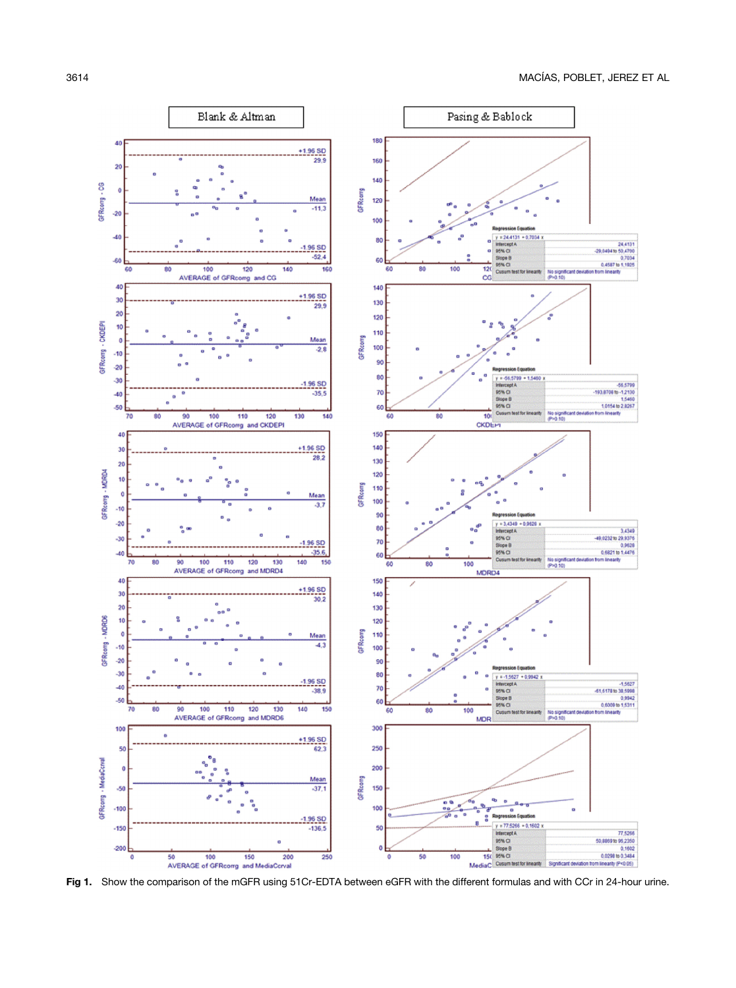<span id="page-2-0"></span>

Fig 1. Show the comparison of the mGFR using 51Cr-EDTA between eGFR with the different formulas and with CCr in 24-hour urine.